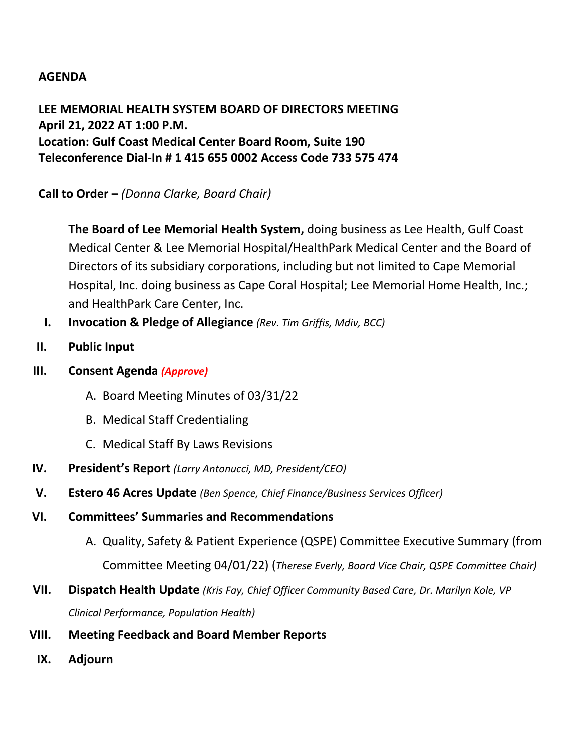## **AGENDA**

**LEE MEMORIAL HEALTH SYSTEM BOARD OF DIRECTORS MEETING April 21, 2022 AT 1:00 P.M. Location: Gulf Coast Medical Center Board Room, Suite 190 Teleconference Dial-In # 1 415 655 0002 Access Code 733 575 474**

**Call to Order –** *(Donna Clarke, Board Chair)*

**The Board of Lee Memorial Health System,** doing business as Lee Health, Gulf Coast Medical Center & Lee Memorial Hospital/HealthPark Medical Center and the Board of Directors of its subsidiary corporations, including but not limited to Cape Memorial Hospital, Inc. doing business as Cape Coral Hospital; Lee Memorial Home Health, Inc.; and HealthPark Care Center, Inc.

- **I. Invocation & Pledge of Allegiance** *(Rev. Tim Griffis, Mdiv, BCC)*
- **II. Public Input**
- **III. Consent Agenda** *(Approve)*
	- A. Board Meeting Minutes of 03/31/22
	- B. Medical Staff Credentialing
	- C. Medical Staff By Laws Revisions
- **IV. President's Report** *(Larry Antonucci, MD, President/CEO)*
- **V. Estero 46 Acres Update** *(Ben Spence, Chief Finance/Business Services Officer)*
- **VI. Committees' Summaries and Recommendations**
	- A. Quality, Safety & Patient Experience (QSPE) Committee Executive Summary (from Committee Meeting 04/01/22) (*Therese Everly, Board Vice Chair, QSPE Committee Chair)*
- **VII. Dispatch Health Update** *(Kris Fay, Chief Officer Community Based Care, Dr. Marilyn Kole, VP Clinical Performance, Population Health)*
- **VIII. Meeting Feedback and Board Member Reports**
	- **IX. Adjourn**